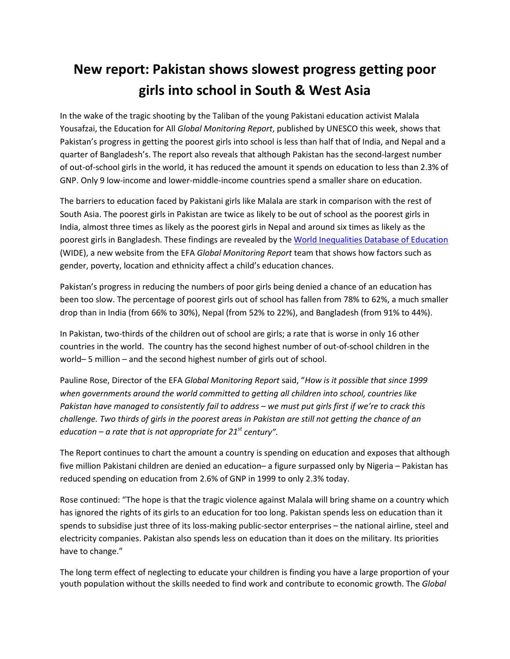## **New report: Pakistan shows slowest progress getting poor girls into school in South & West Asia**

In the wake of the tragic shooting by the Taliban of the young Pakistani education activist Malala Yousafzai, the Education for All *Global Monitoring Report*, published by UNESCO this week, shows that Pakistan's progress in getting the poorest girls into school is less than half that of India, and Nepal and a quarter of Bangladesh's. The report also reveals that although Pakistan has the second-largest number of out-of-school girls in the world, it has reduced the amount it spends on education to less than 2.3% of GNP. Only 9 low-income and lower-middle-income countries spend a smaller share on education.

The barriers to education faced by Pakistani girls like Malala are stark in comparison with the rest of South Asia. The poorest girls in Pakistan are twice as likely to be out of school as the poorest girls in India, almost three times as likely as the poorest girls in Nepal and around six times as likely as the poorest girls in Bangladesh. These findings are revealed by the [World Inequalities Database of Education](http://www.education-inequalities.org/) (WIDE), a new website from the EFA *Global Monitoring Report* team that shows how factors such as gender, poverty, location and ethnicity affect a child's education chances.

Pakistan's progress in reducing the numbers of poor girls being denied a chance of an education has been too slow. The percentage of poorest girls out of school has fallen from 78% to 62%, a much smaller drop than in India (from 66% to 30%), Nepal (from 52% to 22%), and Bangladesh (from 91% to 44%).

In Pakistan, two-thirds of the children out of school are girls; a rate that is worse in only 16 other countries in the world. The country has the second highest number of out-of-school children in the world– 5 million – and the second highest number of girls out of school.

Pauline Rose, Director of the EFA *Global Monitoring Report* said, "*How is it possible that since 1999 when governments around the world committed to getting all children into school, countries like Pakistan have managed to consistently fail to address – we must put girls first if we're to crack this challenge. Two thirds of girls in the poorest areas in Pakistan are still not getting the chance of an education – a rate that is not appropriate for 21st century".*

The Report continues to chart the amount a country is spending on education and exposes that although five million Pakistani children are denied an education– a figure surpassed only by Nigeria – Pakistan has reduced spending on education from 2.6% of GNP in 1999 to only 2.3% today.

Rose continued: "The hope is that the tragic violence against Malala will bring shame on a country which has ignored the rights of its girls to an education for too long. Pakistan spends less on education than it spends to subsidise just three of its loss-making public-sector enterprises – the national airline, steel and electricity companies. Pakistan also spends less on education than it does on the military. Its priorities have to change."

The long term effect of neglecting to educate your children is finding you have a large proportion of your youth population without the skills needed to find work and contribute to economic growth. The *Global*